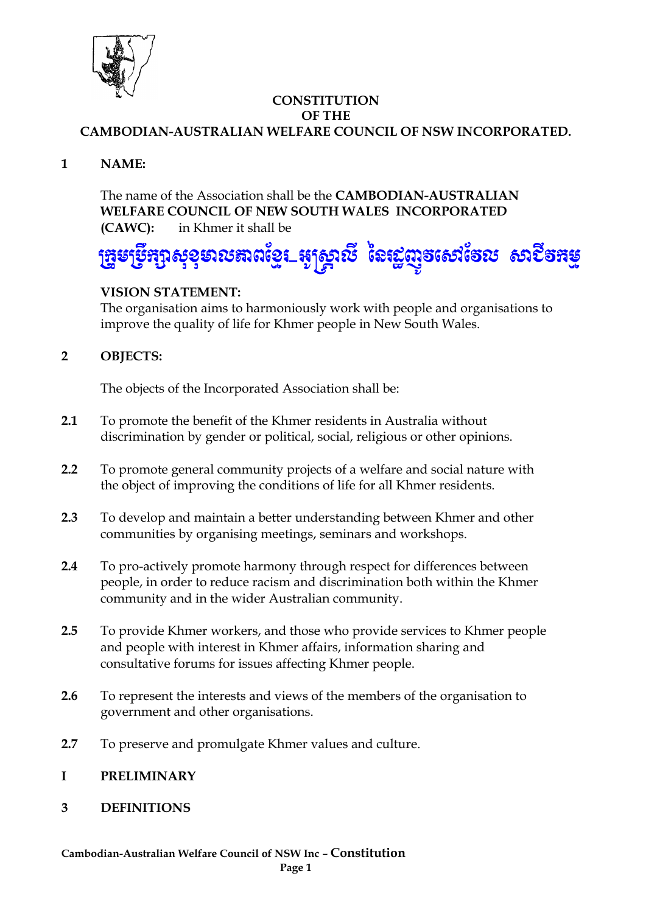

#### **CONSTITUTION OF THE CAMBODIAN-AUSTRALIAN WELFARE COUNCIL OF NSW INCORPORATED.**

**1 NAME:**

The name of the Association shall be the **CAMBODIAN-AUSTRALIAN WELFARE COUNCIL OF NEW SOUTH WALES INCORPORATED (CAWC):** in Khmer it shall be

# ង្សាសុខុមាលឌាពខ្មែរ\_ផ្សន្ត្រាលី នៃរដ្ឋញូចសៅចែល សាបីចំអម្

## **VISION STATEMENT:**

The organisation aims to harmoniously work with people and organisations to improve the quality of life for Khmer people in New South Wales.

## **2 OBJECTS:**

The objects of the Incorporated Association shall be:

- **2.1** To promote the benefit of the Khmer residents in Australia without discrimination by gender or political, social, religious or other opinions.
- **2.2** To promote general community projects of a welfare and social nature with the object of improving the conditions of life for all Khmer residents.
- **2.3** To develop and maintain a better understanding between Khmer and other communities by organising meetings, seminars and workshops.
- **2.4** To pro-actively promote harmony through respect for differences between people, in order to reduce racism and discrimination both within the Khmer community and in the wider Australian community.
- **2.5** To provide Khmer workers, and those who provide services to Khmer people and people with interest in Khmer affairs, information sharing and consultative forums for issues affecting Khmer people.
- **2.6** To represent the interests and views of the members of the organisation to government and other organisations.
- **2.7** To preserve and promulgate Khmer values and culture.

#### **I PRELIMINARY**

**3 DEFINITIONS**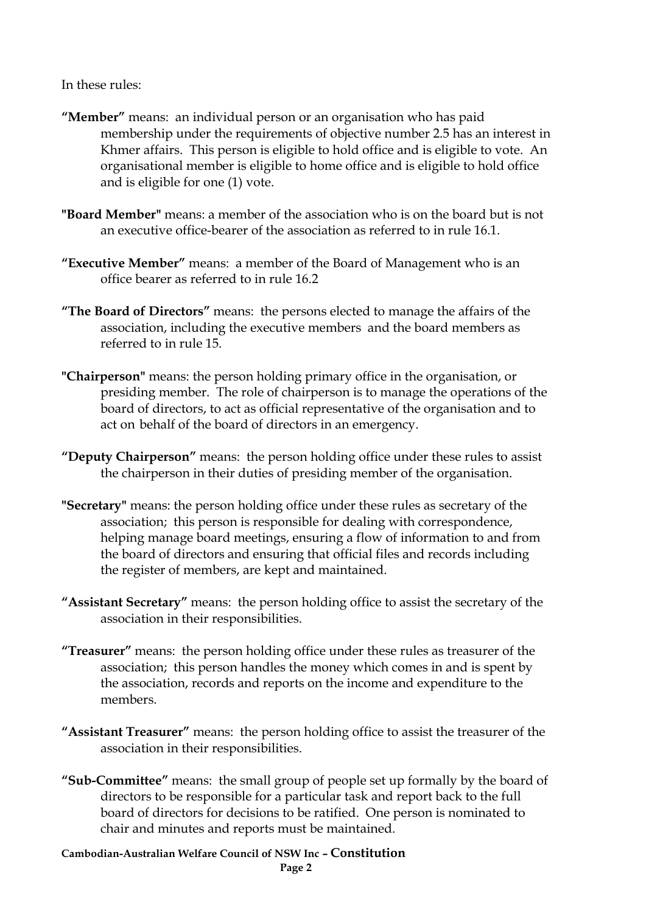In these rules:

- **"Member"** means: an individual person or an organisation who has paid membership under the requirements of objective number 2.5 has an interest in Khmer affairs. This person is eligible to hold office and is eligible to vote. An organisational member is eligible to home office and is eligible to hold office and is eligible for one (1) vote.
- **"Board Member"** means: a member of the association who is on the board but is not an executive office-bearer of the association as referred to in rule 16.1.
- **"Executive Member"** means: a member of the Board of Management who is an office bearer as referred to in rule 16.2
- **"The Board of Directors"** means: the persons elected to manage the affairs of the association, including the executive members and the board members as referred to in rule 15.
- **"Chairperson"** means: the person holding primary office in the organisation, or presiding member. The role of chairperson is to manage the operations of the board of directors, to act as official representative of the organisation and to act on behalf of the board of directors in an emergency.
- **"Deputy Chairperson"** means: the person holding office under these rules to assist the chairperson in their duties of presiding member of the organisation.
- **"Secretary"** means: the person holding office under these rules as secretary of the association; this person is responsible for dealing with correspondence, helping manage board meetings, ensuring a flow of information to and from the board of directors and ensuring that official files and records including the register of members, are kept and maintained.
- **"Assistant Secretary"** means: the person holding office to assist the secretary of the association in their responsibilities.
- **"Treasurer"** means: the person holding office under these rules as treasurer of the association; this person handles the money which comes in and is spent by the association, records and reports on the income and expenditure to the members.
- **"Assistant Treasurer"** means: the person holding office to assist the treasurer of the association in their responsibilities.
- **"Sub-Committee"** means: the small group of people set up formally by the board of directors to be responsible for a particular task and report back to the full board of directors for decisions to be ratified. One person is nominated to chair and minutes and reports must be maintained.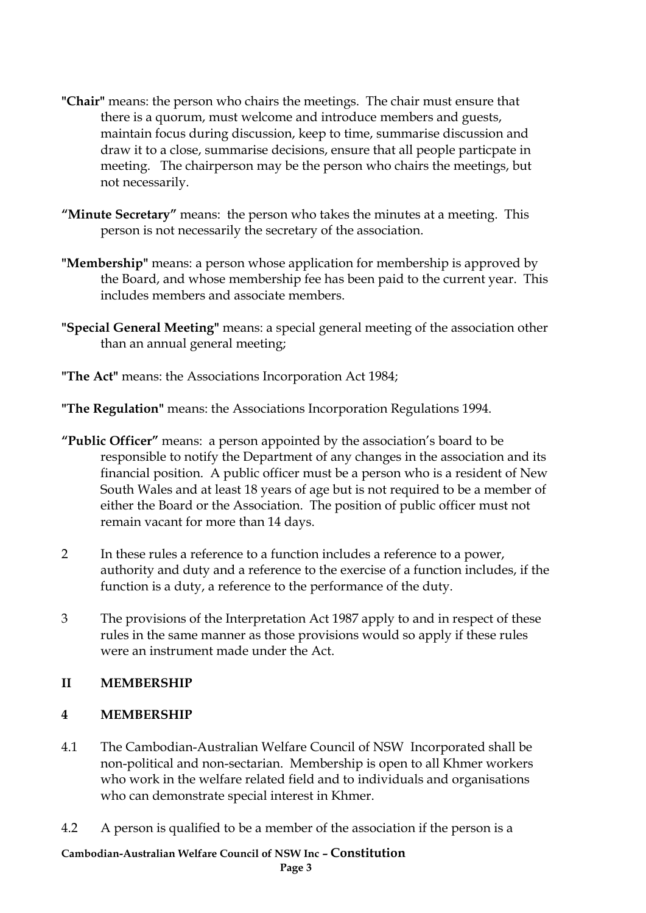- **"Chair"** means: the person who chairs the meetings. The chair must ensure that there is a quorum, must welcome and introduce members and guests, maintain focus during discussion, keep to time, summarise discussion and draw it to a close, summarise decisions, ensure that all people particpate in meeting. The chairperson may be the person who chairs the meetings, but not necessarily.
- **"Minute Secretary"** means: the person who takes the minutes at a meeting. This person is not necessarily the secretary of the association.
- **"Membership"** means: a person whose application for membership is approved by the Board, and whose membership fee has been paid to the current year. This includes members and associate members.
- **"Special General Meeting"** means: a special general meeting of the association other than an annual general meeting;
- **"The Act"** means: the Associations Incorporation Act 1984;

**"The Regulation"** means: the Associations Incorporation Regulations 1994.

- **"Public Officer"** means: a person appointed by the association's board to be responsible to notify the Department of any changes in the association and its financial position. A public officer must be a person who is a resident of New South Wales and at least 18 years of age but is not required to be a member of either the Board or the Association. The position of public officer must not remain vacant for more than 14 days.
- 2 In these rules a reference to a function includes a reference to a power, authority and duty and a reference to the exercise of a function includes, if the function is a duty, a reference to the performance of the duty.
- 3 The provisions of the Interpretation Act 1987 apply to and in respect of these rules in the same manner as those provisions would so apply if these rules were an instrument made under the Act.

#### **II MEMBERSHIP**

#### **4 MEMBERSHIP**

- 4.1 The Cambodian-Australian Welfare Council of NSW Incorporated shall be non-political and non-sectarian. Membership is open to all Khmer workers who work in the welfare related field and to individuals and organisations who can demonstrate special interest in Khmer.
- 4.2 A person is qualified to be a member of the association if the person is a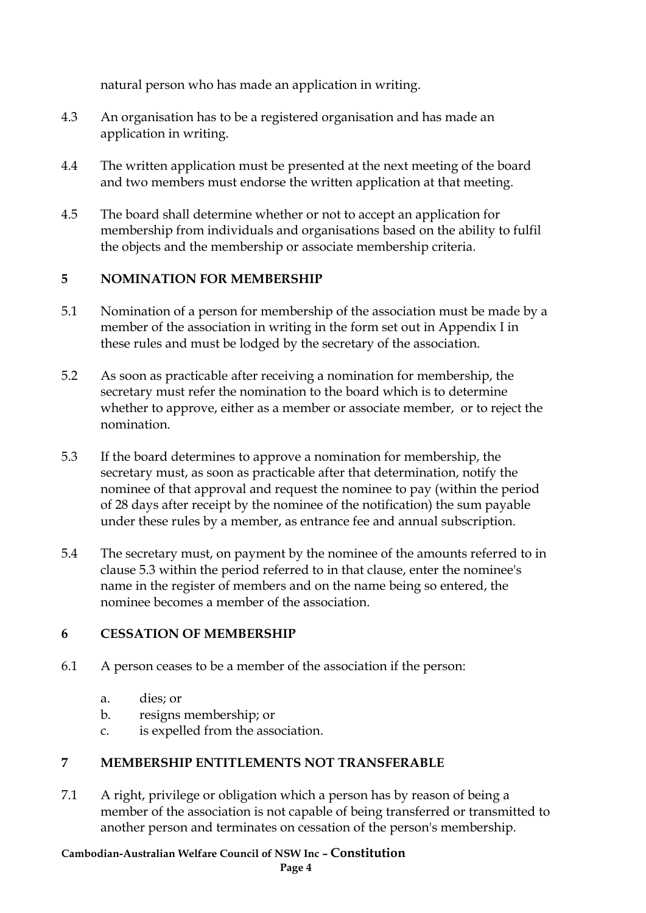natural person who has made an application in writing.

- 4.3 An organisation has to be a registered organisation and has made an application in writing.
- 4.4 The written application must be presented at the next meeting of the board and two members must endorse the written application at that meeting.
- 4.5 The board shall determine whether or not to accept an application for membership from individuals and organisations based on the ability to fulfil the objects and the membership or associate membership criteria.

## **5 NOMINATION FOR MEMBERSHIP**

- 5.1 Nomination of a person for membership of the association must be made by a member of the association in writing in the form set out in Appendix I in these rules and must be lodged by the secretary of the association.
- 5.2 As soon as practicable after receiving a nomination for membership, the secretary must refer the nomination to the board which is to determine whether to approve, either as a member or associate member, or to reject the nomination.
- 5.3 If the board determines to approve a nomination for membership, the secretary must, as soon as practicable after that determination, notify the nominee of that approval and request the nominee to pay (within the period of 28 days after receipt by the nominee of the notification) the sum payable under these rules by a member, as entrance fee and annual subscription.
- 5.4 The secretary must, on payment by the nominee of the amounts referred to in clause 5.3 within the period referred to in that clause, enter the nominee's name in the register of members and on the name being so entered, the nominee becomes a member of the association.

#### **6 CESSATION OF MEMBERSHIP**

- 6.1 A person ceases to be a member of the association if the person:
	- a. dies; or
	- b. resigns membership; or
	- c. is expelled from the association.

#### **7 MEMBERSHIP ENTITLEMENTS NOT TRANSFERABLE**

7.1 A right, privilege or obligation which a person has by reason of being a member of the association is not capable of being transferred or transmitted to another person and terminates on cessation of the person's membership.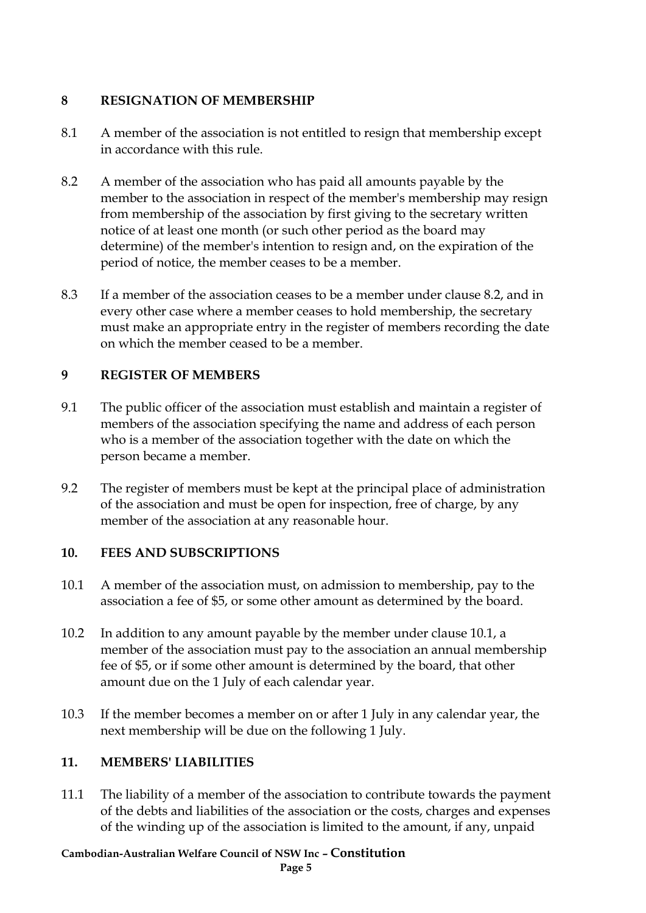#### **8 RESIGNATION OF MEMBERSHIP**

- 8.1 A member of the association is not entitled to resign that membership except in accordance with this rule.
- 8.2 A member of the association who has paid all amounts payable by the member to the association in respect of the member's membership may resign from membership of the association by first giving to the secretary written notice of at least one month (or such other period as the board may determine) of the member's intention to resign and, on the expiration of the period of notice, the member ceases to be a member.
- 8.3 If a member of the association ceases to be a member under clause 8.2, and in every other case where a member ceases to hold membership, the secretary must make an appropriate entry in the register of members recording the date on which the member ceased to be a member.

# **9 REGISTER OF MEMBERS**

- 9.1 The public officer of the association must establish and maintain a register of members of the association specifying the name and address of each person who is a member of the association together with the date on which the person became a member.
- 9.2 The register of members must be kept at the principal place of administration of the association and must be open for inspection, free of charge, by any member of the association at any reasonable hour.

## **10. FEES AND SUBSCRIPTIONS**

- 10.1 A member of the association must, on admission to membership, pay to the association a fee of \$5, or some other amount as determined by the board.
- 10.2 In addition to any amount payable by the member under clause 10.1, a member of the association must pay to the association an annual membership fee of \$5, or if some other amount is determined by the board, that other amount due on the 1 July of each calendar year.
- 10.3 If the member becomes a member on or after 1 July in any calendar year, the next membership will be due on the following 1 July.

# **11. MEMBERS' LIABILITIES**

11.1 The liability of a member of the association to contribute towards the payment of the debts and liabilities of the association or the costs, charges and expenses of the winding up of the association is limited to the amount, if any, unpaid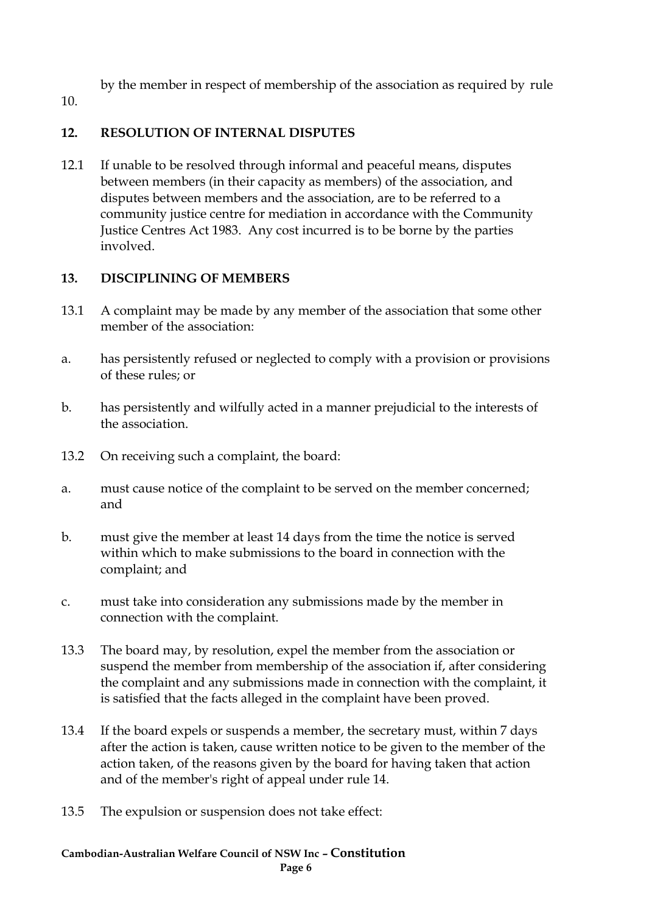by the member in respect of membership of the association as required by rule

10.

## **12. RESOLUTION OF INTERNAL DISPUTES**

12.1 If unable to be resolved through informal and peaceful means, disputes between members (in their capacity as members) of the association, and disputes between members and the association, are to be referred to a community justice centre for mediation in accordance with the Community Justice Centres Act 1983. Any cost incurred is to be borne by the parties involved.

## **13. DISCIPLINING OF MEMBERS**

- 13.1 A complaint may be made by any member of the association that some other member of the association:
- a. has persistently refused or neglected to comply with a provision or provisions of these rules; or
- b. has persistently and wilfully acted in a manner prejudicial to the interests of the association.
- 13.2 On receiving such a complaint, the board:
- a. must cause notice of the complaint to be served on the member concerned; and
- b. must give the member at least 14 days from the time the notice is served within which to make submissions to the board in connection with the complaint; and
- c. must take into consideration any submissions made by the member in connection with the complaint.
- 13.3 The board may, by resolution, expel the member from the association or suspend the member from membership of the association if, after considering the complaint and any submissions made in connection with the complaint, it is satisfied that the facts alleged in the complaint have been proved.
- 13.4 If the board expels or suspends a member, the secretary must, within 7 days after the action is taken, cause written notice to be given to the member of the action taken, of the reasons given by the board for having taken that action and of the member's right of appeal under rule 14.
- 13.5 The expulsion or suspension does not take effect: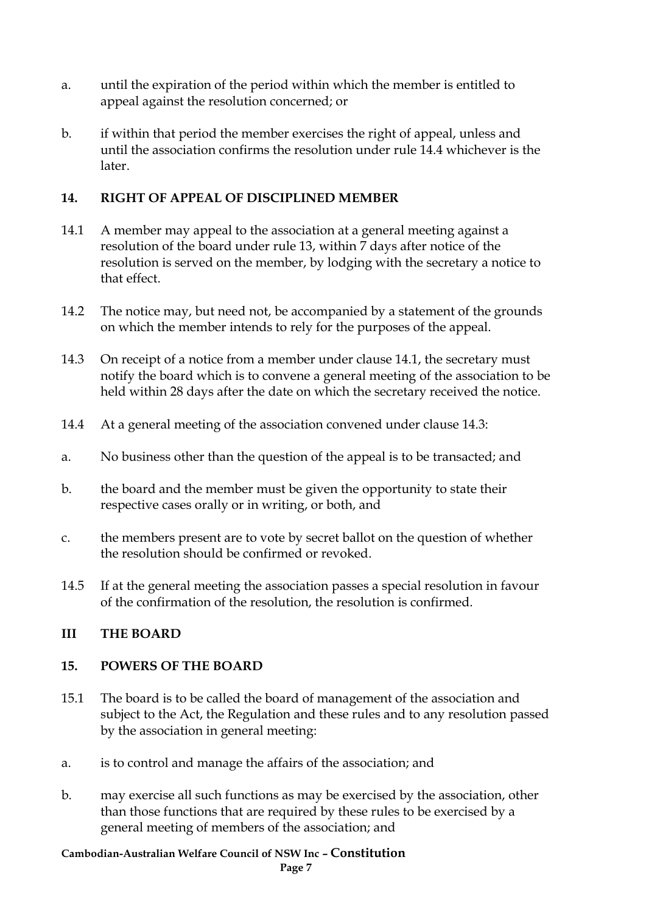- a. until the expiration of the period within which the member is entitled to appeal against the resolution concerned; or
- b. if within that period the member exercises the right of appeal, unless and until the association confirms the resolution under rule 14.4 whichever is the later.

#### **14. RIGHT OF APPEAL OF DISCIPLINED MEMBER**

- 14.1 A member may appeal to the association at a general meeting against a resolution of the board under rule 13, within 7 days after notice of the resolution is served on the member, by lodging with the secretary a notice to that effect.
- 14.2 The notice may, but need not, be accompanied by a statement of the grounds on which the member intends to rely for the purposes of the appeal.
- 14.3 On receipt of a notice from a member under clause 14.1, the secretary must notify the board which is to convene a general meeting of the association to be held within 28 days after the date on which the secretary received the notice.
- 14.4 At a general meeting of the association convened under clause 14.3:
- a. No business other than the question of the appeal is to be transacted; and
- b. the board and the member must be given the opportunity to state their respective cases orally or in writing, or both, and
- c. the members present are to vote by secret ballot on the question of whether the resolution should be confirmed or revoked.
- 14.5 If at the general meeting the association passes a special resolution in favour of the confirmation of the resolution, the resolution is confirmed.

#### **III THE BOARD**

#### **15. POWERS OF THE BOARD**

- 15.1 The board is to be called the board of management of the association and subject to the Act, the Regulation and these rules and to any resolution passed by the association in general meeting:
- a. is to control and manage the affairs of the association; and
- b. may exercise all such functions as may be exercised by the association, other than those functions that are required by these rules to be exercised by a general meeting of members of the association; and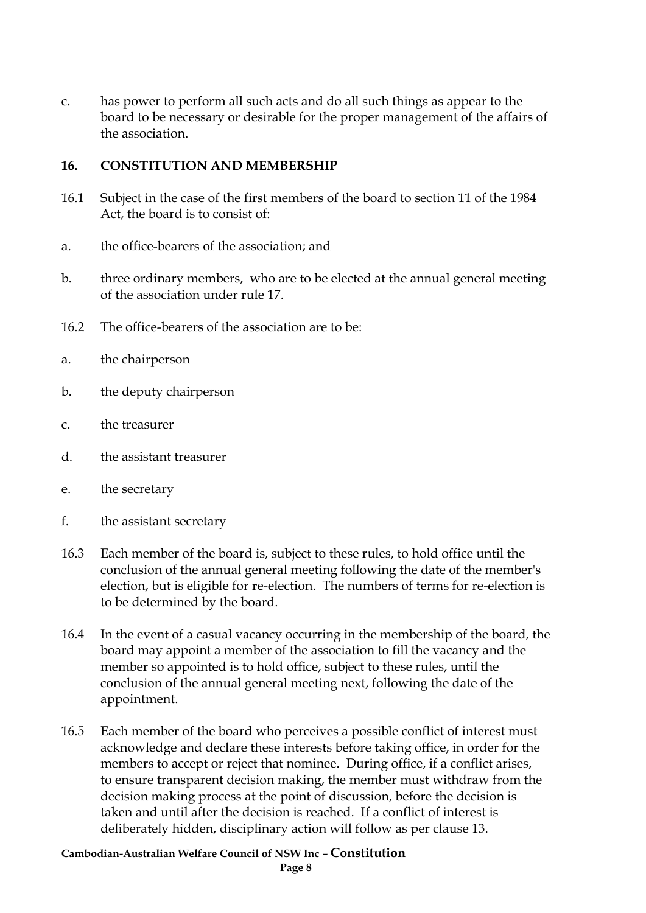c. has power to perform all such acts and do all such things as appear to the board to be necessary or desirable for the proper management of the affairs of the association.

#### **16. CONSTITUTION AND MEMBERSHIP**

- 16.1 Subject in the case of the first members of the board to section 11 of the 1984 Act, the board is to consist of:
- a. the office-bearers of the association; and
- b. three ordinary members, who are to be elected at the annual general meeting of the association under rule 17.
- 16.2 The office-bearers of the association are to be:
- a. the chairperson
- b. the deputy chairperson
- c. the treasurer
- d. the assistant treasurer
- e. the secretary
- f. the assistant secretary
- 16.3 Each member of the board is, subject to these rules, to hold office until the conclusion of the annual general meeting following the date of the member's election, but is eligible for re-election. The numbers of terms for re-election is to be determined by the board.
- 16.4 In the event of a casual vacancy occurring in the membership of the board, the board may appoint a member of the association to fill the vacancy and the member so appointed is to hold office, subject to these rules, until the conclusion of the annual general meeting next, following the date of the appointment.
- 16.5 Each member of the board who perceives a possible conflict of interest must acknowledge and declare these interests before taking office, in order for the members to accept or reject that nominee. During office, if a conflict arises, to ensure transparent decision making, the member must withdraw from the decision making process at the point of discussion, before the decision is taken and until after the decision is reached. If a conflict of interest is deliberately hidden, disciplinary action will follow as per clause 13.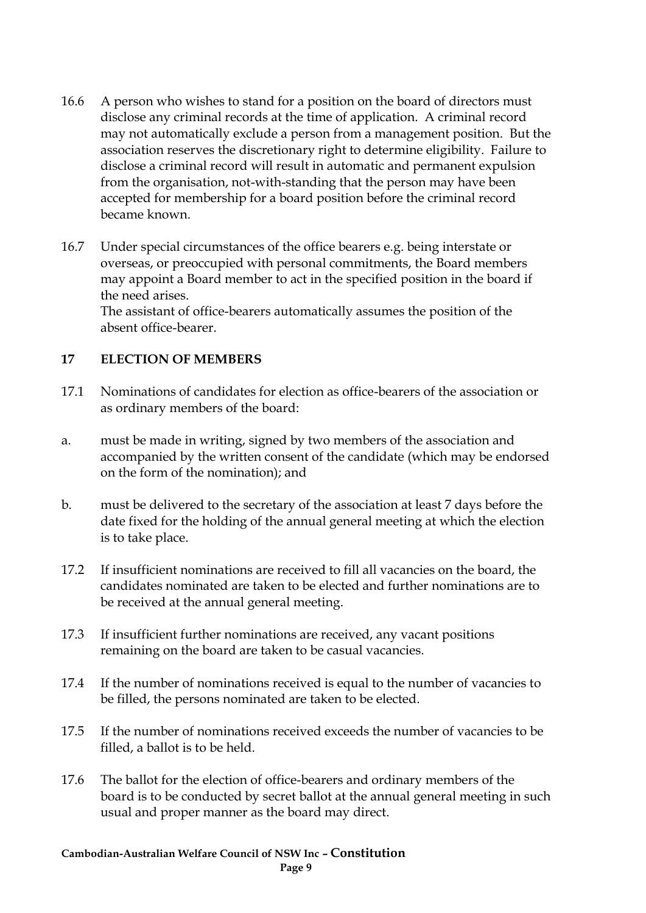- 16.6 A person who wishes to stand for a position on the board of directors must disclose any criminal records at the time of application. A criminal record may not automatically exclude a person from a management position. But the association reserves the discretionary right to determine eligibility. Failure to disclose a criminal record will result in automatic and permanent expulsion from the organisation, not-with-standing that the person may have been accepted for membership for a board position before the criminal record became known.
- 16.7 Under special circumstances of the office bearers e.g. being interstate or overseas, or preoccupied with personal commitments, the Board members may appoint a Board member to act in the specified position in the board if the need arises.

The assistant of office-bearers automatically assumes the position of the absent office-bearer.

#### **17 ELECTION OF MEMBERS**

- 17.1 Nominations of candidates for election as office-bearers of the association or as ordinary members of the board:
- a. must be made in writing, signed by two members of the association and accompanied by the written consent of the candidate (which may be endorsed on the form of the nomination); and
- b. must be delivered to the secretary of the association at least 7 days before the date fixed for the holding of the annual general meeting at which the election is to take place.
- 17.2 If insufficient nominations are received to fill all vacancies on the board, the candidates nominated are taken to be elected and further nominations are to be received at the annual general meeting.
- 17.3 If insufficient further nominations are received, any vacant positions remaining on the board are taken to be casual vacancies.
- 17.4 If the number of nominations received is equal to the number of vacancies to be filled, the persons nominated are taken to be elected.
- 17.5 If the number of nominations received exceeds the number of vacancies to be filled, a ballot is to be held.
- 17.6 The ballot for the election of office-bearers and ordinary members of the board is to be conducted by secret ballot at the annual general meeting in such usual and proper manner as the board may direct.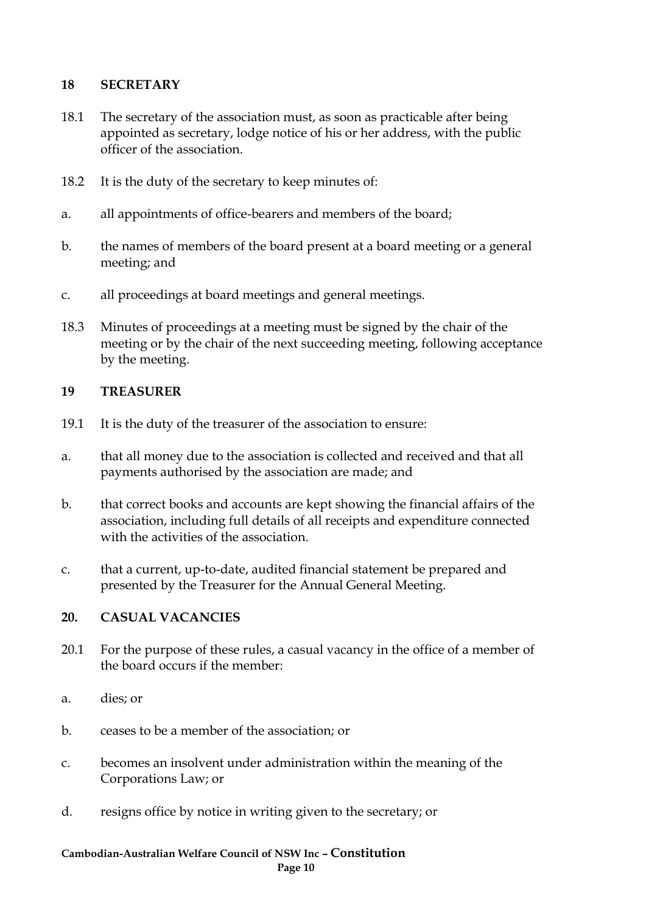#### **18 SECRETARY**

- 18.1 The secretary of the association must, as soon as practicable after being appointed as secretary, lodge notice of his or her address, with the public officer of the association.
- 18.2 It is the duty of the secretary to keep minutes of:
- a. all appointments of office-bearers and members of the board;
- b. the names of members of the board present at a board meeting or a general meeting; and
- c. all proceedings at board meetings and general meetings.
- 18.3 Minutes of proceedings at a meeting must be signed by the chair of the meeting or by the chair of the next succeeding meeting, following acceptance by the meeting.

#### **19 TREASURER**

- 19.1 It is the duty of the treasurer of the association to ensure:
- a. that all money due to the association is collected and received and that all payments authorised by the association are made; and
- b. that correct books and accounts are kept showing the financial affairs of the association, including full details of all receipts and expenditure connected with the activities of the association.
- c. that a current, up-to-date, audited financial statement be prepared and presented by the Treasurer for the Annual General Meeting.

#### **20. CASUAL VACANCIES**

- 20.1 For the purpose of these rules, a casual vacancy in the office of a member of the board occurs if the member:
- a. dies; or
- b. ceases to be a member of the association; or
- c. becomes an insolvent under administration within the meaning of the Corporations Law; or
- d. resigns office by notice in writing given to the secretary; or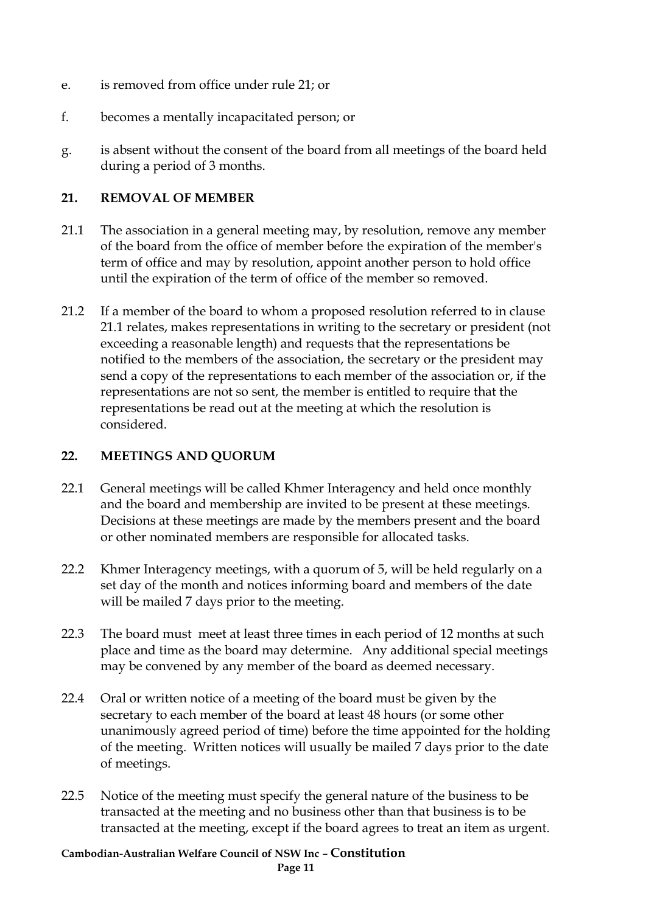- e. is removed from office under rule 21; or
- f. becomes a mentally incapacitated person; or
- g. is absent without the consent of the board from all meetings of the board held during a period of 3 months.

#### **21. REMOVAL OF MEMBER**

- 21.1 The association in a general meeting may, by resolution, remove any member of the board from the office of member before the expiration of the member's term of office and may by resolution, appoint another person to hold office until the expiration of the term of office of the member so removed.
- 21.2 If a member of the board to whom a proposed resolution referred to in clause 21.1 relates, makes representations in writing to the secretary or president (not exceeding a reasonable length) and requests that the representations be notified to the members of the association, the secretary or the president may send a copy of the representations to each member of the association or, if the representations are not so sent, the member is entitled to require that the representations be read out at the meeting at which the resolution is considered.

#### **22. MEETINGS AND QUORUM**

- 22.1 General meetings will be called Khmer Interagency and held once monthly and the board and membership are invited to be present at these meetings. Decisions at these meetings are made by the members present and the board or other nominated members are responsible for allocated tasks.
- 22.2 Khmer Interagency meetings, with a quorum of 5, will be held regularly on a set day of the month and notices informing board and members of the date will be mailed 7 days prior to the meeting.
- 22.3 The board must meet at least three times in each period of 12 months at such place and time as the board may determine. Any additional special meetings may be convened by any member of the board as deemed necessary.
- 22.4 Oral or written notice of a meeting of the board must be given by the secretary to each member of the board at least 48 hours (or some other unanimously agreed period of time) before the time appointed for the holding of the meeting. Written notices will usually be mailed 7 days prior to the date of meetings.
- 22.5 Notice of the meeting must specify the general nature of the business to be transacted at the meeting and no business other than that business is to be transacted at the meeting, except if the board agrees to treat an item as urgent.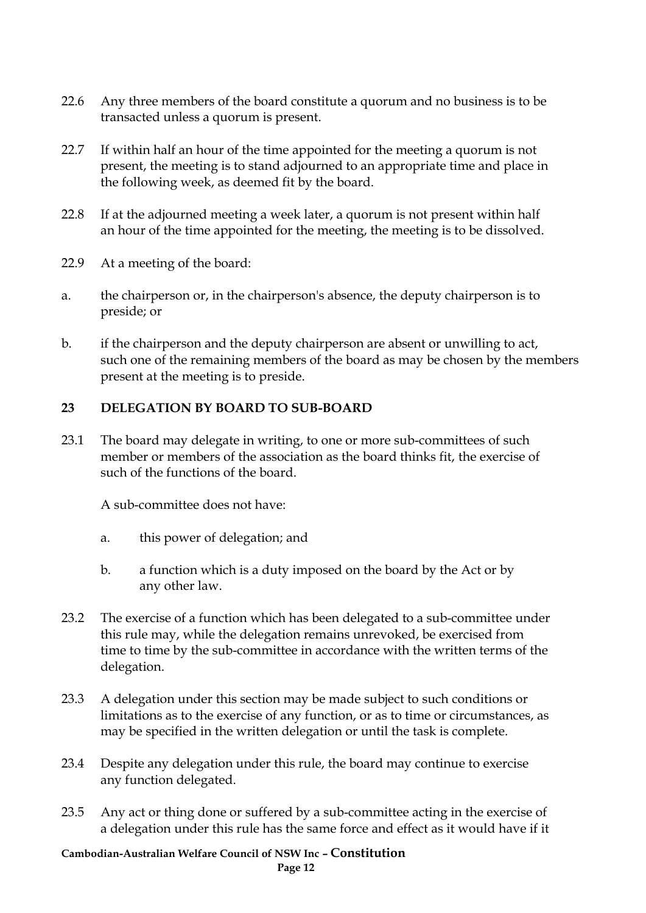- 22.6 Any three members of the board constitute a quorum and no business is to be transacted unless a quorum is present.
- 22.7 If within half an hour of the time appointed for the meeting a quorum is not present, the meeting is to stand adjourned to an appropriate time and place in the following week, as deemed fit by the board.
- 22.8 If at the adjourned meeting a week later, a quorum is not present within half an hour of the time appointed for the meeting, the meeting is to be dissolved.
- 22.9 At a meeting of the board:
- a. the chairperson or, in the chairperson's absence, the deputy chairperson is to preside; or
- b. if the chairperson and the deputy chairperson are absent or unwilling to act, such one of the remaining members of the board as may be chosen by the members present at the meeting is to preside.

## **23 DELEGATION BY BOARD TO SUB-BOARD**

23.1 The board may delegate in writing, to one or more sub-committees of such member or members of the association as the board thinks fit, the exercise of such of the functions of the board.

A sub-committee does not have:

- a. this power of delegation; and
- b. a function which is a duty imposed on the board by the Act or by any other law.
- 23.2 The exercise of a function which has been delegated to a sub-committee under this rule may, while the delegation remains unrevoked, be exercised from time to time by the sub-committee in accordance with the written terms of the delegation.
- 23.3 A delegation under this section may be made subject to such conditions or limitations as to the exercise of any function, or as to time or circumstances, as may be specified in the written delegation or until the task is complete.
- 23.4 Despite any delegation under this rule, the board may continue to exercise any function delegated.
- 23.5 Any act or thing done or suffered by a sub-committee acting in the exercise of a delegation under this rule has the same force and effect as it would have if it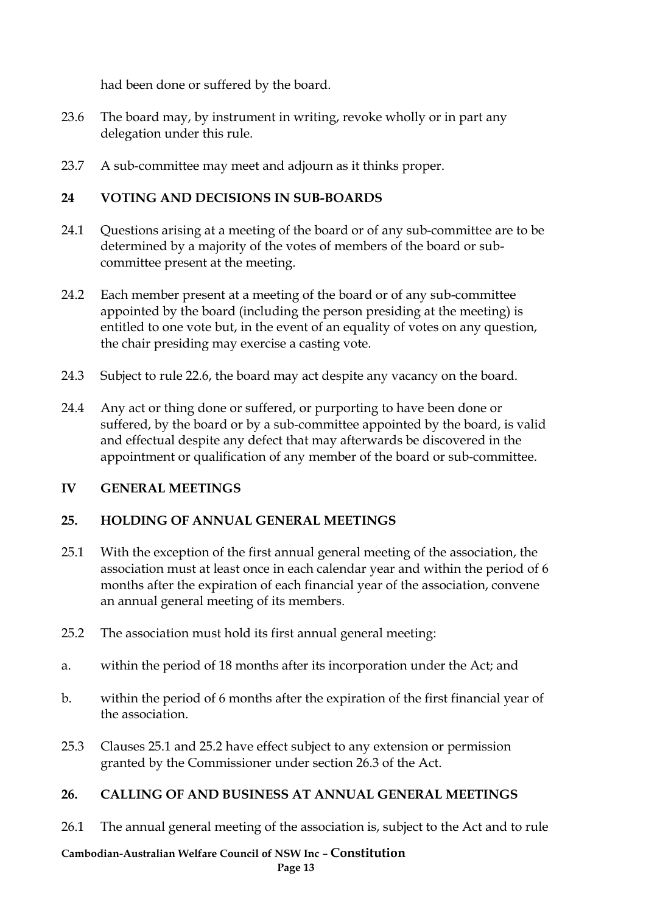had been done or suffered by the board.

- 23.6 The board may, by instrument in writing, revoke wholly or in part any delegation under this rule.
- 23.7 A sub-committee may meet and adjourn as it thinks proper.

#### **24 VOTING AND DECISIONS IN SUB-BOARDS**

- 24.1 Questions arising at a meeting of the board or of any sub-committee are to be determined by a majority of the votes of members of the board or subcommittee present at the meeting.
- 24.2 Each member present at a meeting of the board or of any sub-committee appointed by the board (including the person presiding at the meeting) is entitled to one vote but, in the event of an equality of votes on any question, the chair presiding may exercise a casting vote.
- 24.3 Subject to rule 22.6, the board may act despite any vacancy on the board.
- 24.4 Any act or thing done or suffered, or purporting to have been done or suffered, by the board or by a sub-committee appointed by the board, is valid and effectual despite any defect that may afterwards be discovered in the appointment or qualification of any member of the board or sub-committee.

#### **IV GENERAL MEETINGS**

#### **25. HOLDING OF ANNUAL GENERAL MEETINGS**

- 25.1 With the exception of the first annual general meeting of the association, the association must at least once in each calendar year and within the period of 6 months after the expiration of each financial year of the association, convene an annual general meeting of its members.
- 25.2 The association must hold its first annual general meeting:
- a. within the period of 18 months after its incorporation under the Act; and
- b. within the period of 6 months after the expiration of the first financial year of the association.
- 25.3 Clauses 25.1 and 25.2 have effect subject to any extension or permission granted by the Commissioner under section 26.3 of the Act.

#### **26. CALLING OF AND BUSINESS AT ANNUAL GENERAL MEETINGS**

26.1 The annual general meeting of the association is, subject to the Act and to rule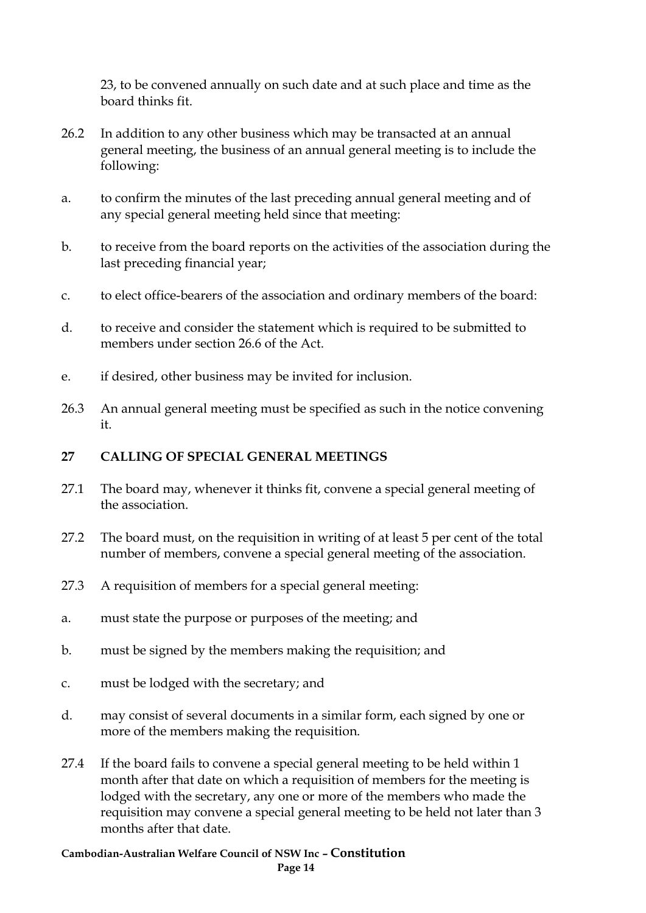23, to be convened annually on such date and at such place and time as the board thinks fit.

- 26.2 In addition to any other business which may be transacted at an annual general meeting, the business of an annual general meeting is to include the following:
- a. to confirm the minutes of the last preceding annual general meeting and of any special general meeting held since that meeting:
- b. to receive from the board reports on the activities of the association during the last preceding financial year;
- c. to elect office-bearers of the association and ordinary members of the board:
- d. to receive and consider the statement which is required to be submitted to members under section 26.6 of the Act.
- e. if desired, other business may be invited for inclusion.
- 26.3 An annual general meeting must be specified as such in the notice convening it.

#### **27 CALLING OF SPECIAL GENERAL MEETINGS**

- 27.1 The board may, whenever it thinks fit, convene a special general meeting of the association.
- 27.2 The board must, on the requisition in writing of at least 5 per cent of the total number of members, convene a special general meeting of the association.
- 27.3 A requisition of members for a special general meeting:
- a. must state the purpose or purposes of the meeting; and
- b. must be signed by the members making the requisition; and
- c. must be lodged with the secretary; and
- d. may consist of several documents in a similar form, each signed by one or more of the members making the requisition.
- 27.4 If the board fails to convene a special general meeting to be held within 1 month after that date on which a requisition of members for the meeting is lodged with the secretary, any one or more of the members who made the requisition may convene a special general meeting to be held not later than 3 months after that date.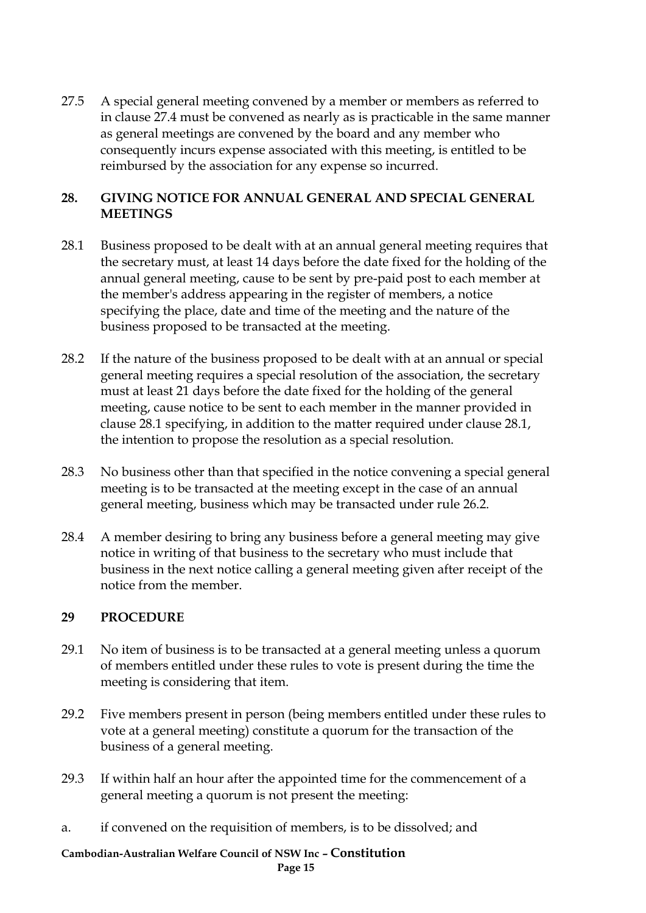27.5 A special general meeting convened by a member or members as referred to in clause 27.4 must be convened as nearly as is practicable in the same manner as general meetings are convened by the board and any member who consequently incurs expense associated with this meeting, is entitled to be reimbursed by the association for any expense so incurred.

#### **28. GIVING NOTICE FOR ANNUAL GENERAL AND SPECIAL GENERAL MEETINGS**

- 28.1 Business proposed to be dealt with at an annual general meeting requires that the secretary must, at least 14 days before the date fixed for the holding of the annual general meeting, cause to be sent by pre-paid post to each member at the member's address appearing in the register of members, a notice specifying the place, date and time of the meeting and the nature of the business proposed to be transacted at the meeting.
- 28.2 If the nature of the business proposed to be dealt with at an annual or special general meeting requires a special resolution of the association, the secretary must at least 21 days before the date fixed for the holding of the general meeting, cause notice to be sent to each member in the manner provided in clause 28.1 specifying, in addition to the matter required under clause 28.1, the intention to propose the resolution as a special resolution.
- 28.3 No business other than that specified in the notice convening a special general meeting is to be transacted at the meeting except in the case of an annual general meeting, business which may be transacted under rule 26.2.
- 28.4 A member desiring to bring any business before a general meeting may give notice in writing of that business to the secretary who must include that business in the next notice calling a general meeting given after receipt of the notice from the member.

#### **29 PROCEDURE**

- 29.1 No item of business is to be transacted at a general meeting unless a quorum of members entitled under these rules to vote is present during the time the meeting is considering that item.
- 29.2 Five members present in person (being members entitled under these rules to vote at a general meeting) constitute a quorum for the transaction of the business of a general meeting.
- 29.3 If within half an hour after the appointed time for the commencement of a general meeting a quorum is not present the meeting:
- a. if convened on the requisition of members, is to be dissolved; and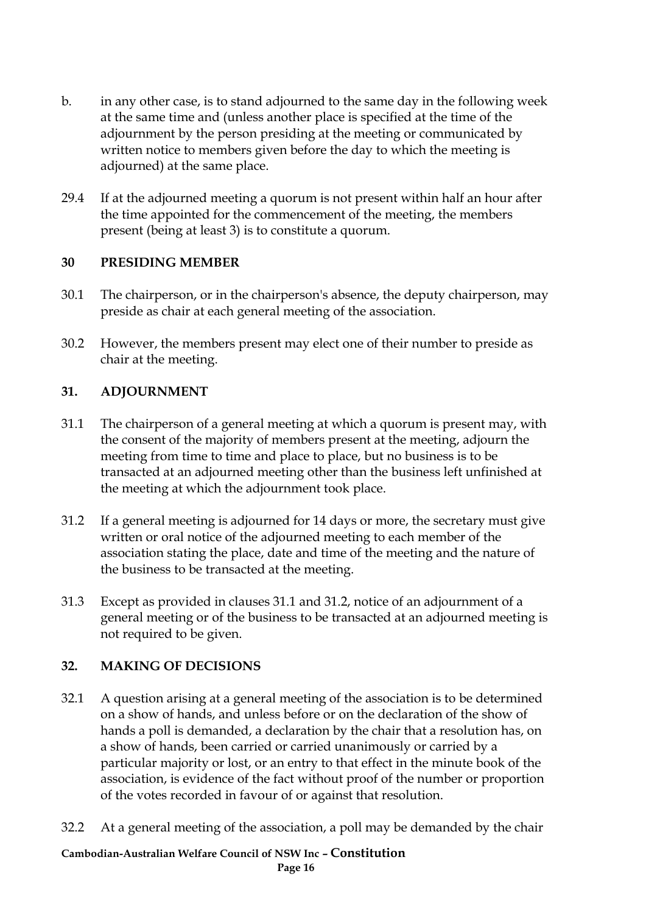- b. in any other case, is to stand adjourned to the same day in the following week at the same time and (unless another place is specified at the time of the adjournment by the person presiding at the meeting or communicated by written notice to members given before the day to which the meeting is adjourned) at the same place.
- 29.4 If at the adjourned meeting a quorum is not present within half an hour after the time appointed for the commencement of the meeting, the members present (being at least 3) is to constitute a quorum.

#### **30 PRESIDING MEMBER**

- 30.1 The chairperson, or in the chairperson's absence, the deputy chairperson, may preside as chair at each general meeting of the association.
- 30.2 However, the members present may elect one of their number to preside as chair at the meeting.

#### **31. ADJOURNMENT**

- 31.1 The chairperson of a general meeting at which a quorum is present may, with the consent of the majority of members present at the meeting, adjourn the meeting from time to time and place to place, but no business is to be transacted at an adjourned meeting other than the business left unfinished at the meeting at which the adjournment took place.
- 31.2 If a general meeting is adjourned for 14 days or more, the secretary must give written or oral notice of the adjourned meeting to each member of the association stating the place, date and time of the meeting and the nature of the business to be transacted at the meeting.
- 31.3 Except as provided in clauses 31.1 and 31.2, notice of an adjournment of a general meeting or of the business to be transacted at an adjourned meeting is not required to be given.

#### **32. MAKING OF DECISIONS**

- 32.1 A question arising at a general meeting of the association is to be determined on a show of hands, and unless before or on the declaration of the show of hands a poll is demanded, a declaration by the chair that a resolution has, on a show of hands, been carried or carried unanimously or carried by a particular majority or lost, or an entry to that effect in the minute book of the association, is evidence of the fact without proof of the number or proportion of the votes recorded in favour of or against that resolution.
- 32.2 At a general meeting of the association, a poll may be demanded by the chair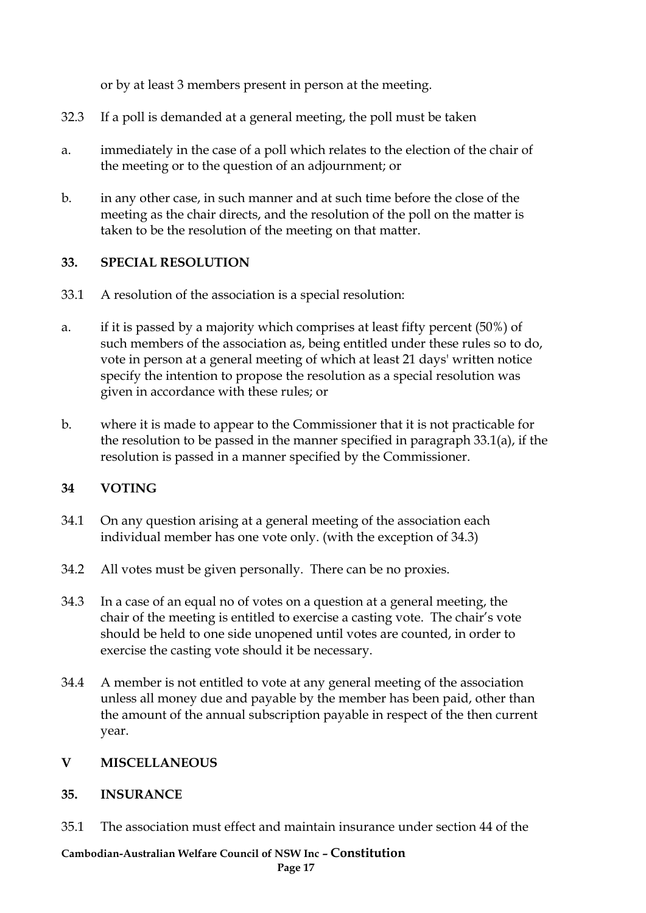or by at least 3 members present in person at the meeting.

- 32.3 If a poll is demanded at a general meeting, the poll must be taken
- a. immediately in the case of a poll which relates to the election of the chair of the meeting or to the question of an adjournment; or
- b. in any other case, in such manner and at such time before the close of the meeting as the chair directs, and the resolution of the poll on the matter is taken to be the resolution of the meeting on that matter.

#### **33. SPECIAL RESOLUTION**

- 33.1 A resolution of the association is a special resolution:
- a. if it is passed by a majority which comprises at least fifty percent (50%) of such members of the association as, being entitled under these rules so to do, vote in person at a general meeting of which at least 21 days' written notice specify the intention to propose the resolution as a special resolution was given in accordance with these rules; or
- b. where it is made to appear to the Commissioner that it is not practicable for the resolution to be passed in the manner specified in paragraph 33.1(a), if the resolution is passed in a manner specified by the Commissioner.

#### **34 VOTING**

- 34.1 On any question arising at a general meeting of the association each individual member has one vote only. (with the exception of 34.3)
- 34.2 All votes must be given personally. There can be no proxies.
- 34.3 In a case of an equal no of votes on a question at a general meeting, the chair of the meeting is entitled to exercise a casting vote. The chair's vote should be held to one side unopened until votes are counted, in order to exercise the casting vote should it be necessary.
- 34.4 A member is not entitled to vote at any general meeting of the association unless all money due and payable by the member has been paid, other than the amount of the annual subscription payable in respect of the then current year.

#### **V MISCELLANEOUS**

#### **35. INSURANCE**

35.1 The association must effect and maintain insurance under section 44 of the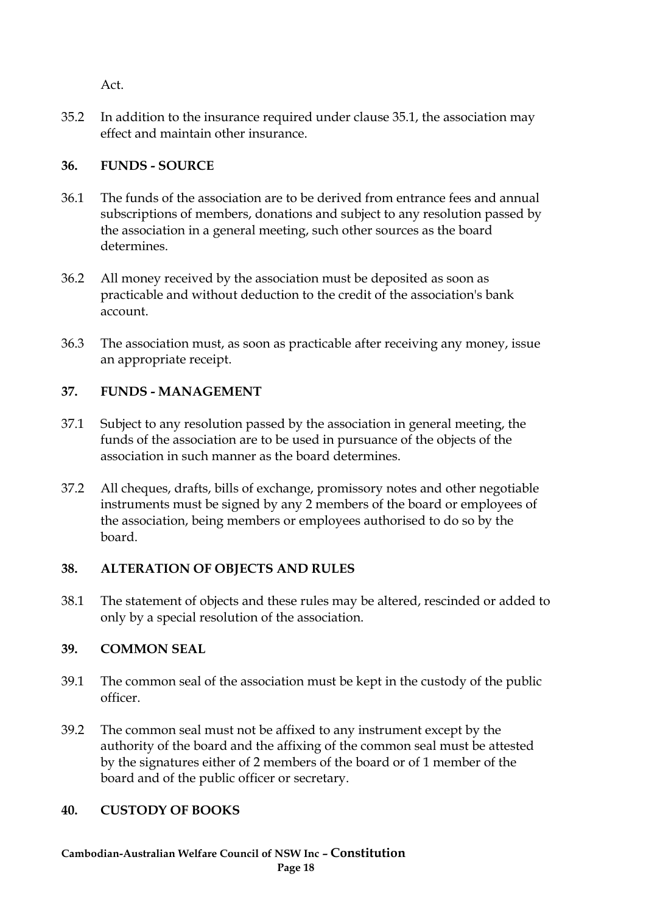Act.

35.2 In addition to the insurance required under clause 35.1, the association may effect and maintain other insurance.

# **36. FUNDS - SOURCE**

- 36.1 The funds of the association are to be derived from entrance fees and annual subscriptions of members, donations and subject to any resolution passed by the association in a general meeting, such other sources as the board determines.
- 36.2 All money received by the association must be deposited as soon as practicable and without deduction to the credit of the association's bank account.
- 36.3 The association must, as soon as practicable after receiving any money, issue an appropriate receipt.

# **37. FUNDS - MANAGEMENT**

- 37.1 Subject to any resolution passed by the association in general meeting, the funds of the association are to be used in pursuance of the objects of the association in such manner as the board determines.
- 37.2 All cheques, drafts, bills of exchange, promissory notes and other negotiable instruments must be signed by any 2 members of the board or employees of the association, being members or employees authorised to do so by the board.

## **38. ALTERATION OF OBJECTS AND RULES**

38.1 The statement of objects and these rules may be altered, rescinded or added to only by a special resolution of the association.

# **39. COMMON SEAL**

- 39.1 The common seal of the association must be kept in the custody of the public officer.
- 39.2 The common seal must not be affixed to any instrument except by the authority of the board and the affixing of the common seal must be attested by the signatures either of 2 members of the board or of 1 member of the board and of the public officer or secretary.

## **40. CUSTODY OF BOOKS**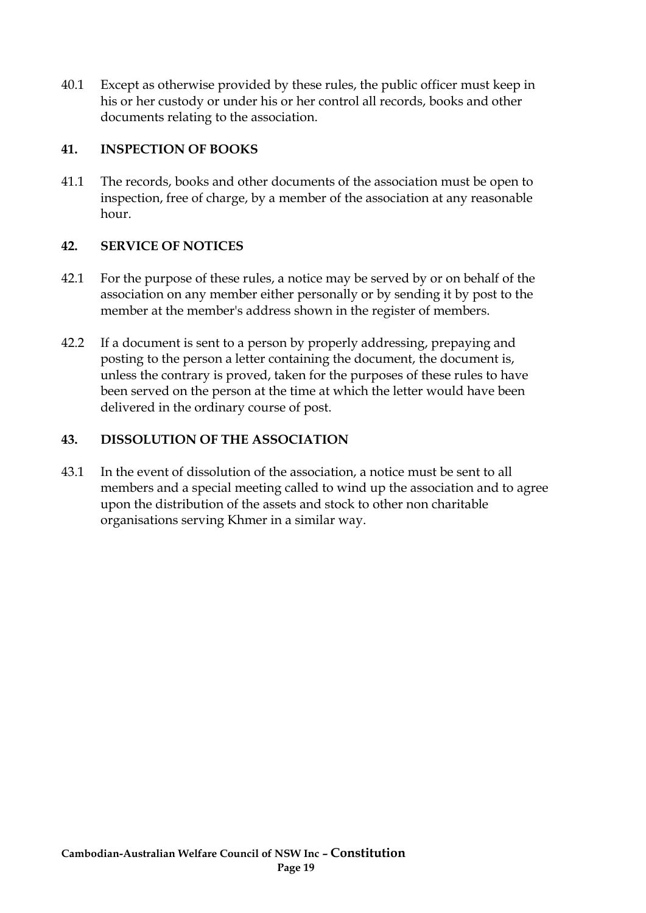40.1 Except as otherwise provided by these rules, the public officer must keep in his or her custody or under his or her control all records, books and other documents relating to the association.

#### **41. INSPECTION OF BOOKS**

41.1 The records, books and other documents of the association must be open to inspection, free of charge, by a member of the association at any reasonable hour.

## **42. SERVICE OF NOTICES**

- 42.1 For the purpose of these rules, a notice may be served by or on behalf of the association on any member either personally or by sending it by post to the member at the member's address shown in the register of members.
- 42.2 If a document is sent to a person by properly addressing, prepaying and posting to the person a letter containing the document, the document is, unless the contrary is proved, taken for the purposes of these rules to have been served on the person at the time at which the letter would have been delivered in the ordinary course of post.

## **43. DISSOLUTION OF THE ASSOCIATION**

43.1 In the event of dissolution of the association, a notice must be sent to all members and a special meeting called to wind up the association and to agree upon the distribution of the assets and stock to other non charitable organisations serving Khmer in a similar way.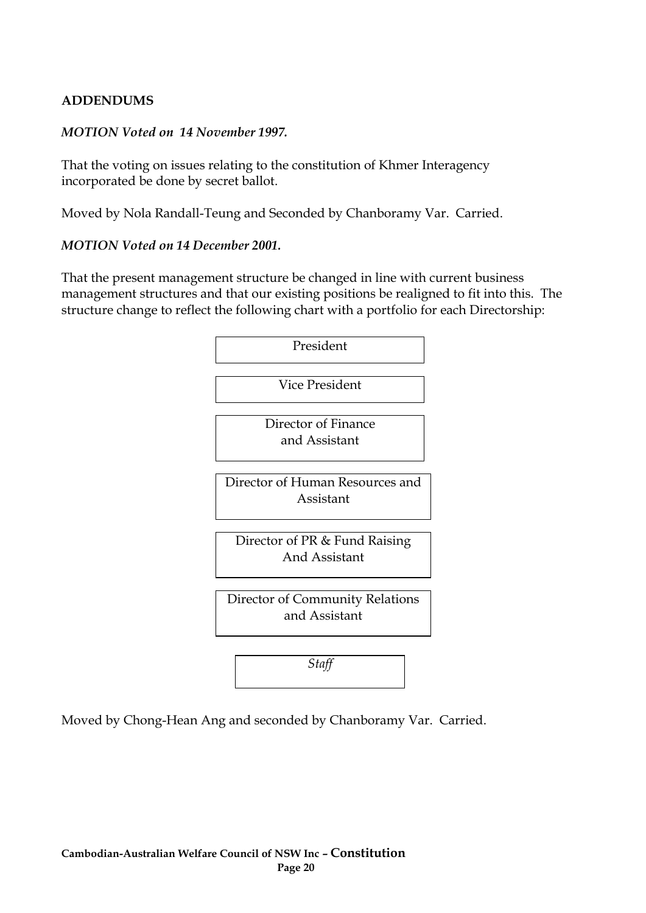#### **ADDENDUMS**

#### *MOTION Voted on 14 November 1997.*

That the voting on issues relating to the constitution of Khmer Interagency incorporated be done by secret ballot.

Moved by Nola Randall-Teung and Seconded by Chanboramy Var. Carried.

#### *MOTION Voted on 14 December 2001.*

That the present management structure be changed in line with current business management structures and that our existing positions be realigned to fit into this. The structure change to reflect the following chart with a portfolio for each Directorship:



Moved by Chong-Hean Ang and seconded by Chanboramy Var. Carried.